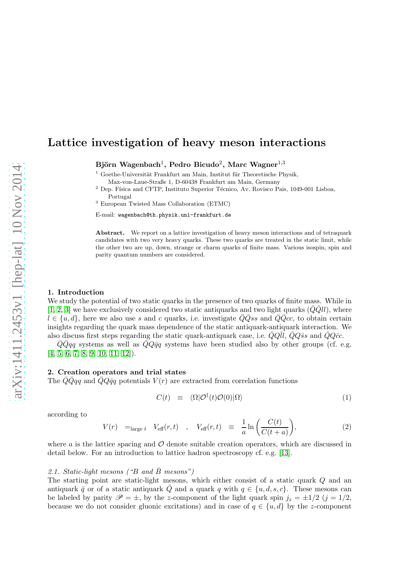# Lattice investigation of heavy meson interactions

Björn Wagenbach $^1$ , Pedro Bicudo $^2$ , Marc Wagner $^{1,3}$ 

 $1$  Goethe-Universität Frankfurt am Main, Institut für Theoretische Physik,

Max-von-Laue-Straße 1, D-60438 Frankfurt am Main, Germany

 $2$  Dep. Física and CFTP, Instituto Superior Técnico, Av. Rovisco Pais, 1049-001 Lisboa, Portugal

<sup>3</sup> European Twisted Mass Collaboration (ETMC)

E-mail: wagenbach@th.physik.uni-frankfurt.de

Abstract. We report on a lattice investigation of heavy meson interactions and of tetraquark candidates with two very heavy quarks. These two quarks are treated in the static limit, while the other two are up, down, strange or charm quarks of finite mass. Various isospin, spin and parity quantum numbers are considered.

### 1. Introduction

We study the potential of two static quarks in the presence of two quarks of finite mass. While in [\[1,](#page-4-0) [2,](#page-4-1) [3\]](#page-4-2) we have exclusively considered two static antiquarks and two light quarks  $(\bar{Q}\bar{Q}ll)$ , where  $l \in \{u, d\}$ , here we also use s and c quarks, i.e. investigate  $QQss$  and  $QQcc$ , to obtain certain insights regarding the quark mass dependence of the static antiquark-antiquark interaction. We also discuss first steps regarding the static quark-antiquark case, i.e.  $\bar{Q}Q\bar{l}l$ ,  $\bar{Q}Q\bar{s}s$  and  $\bar{Q}Q\bar{c}c$ .

 $\overline{Q}Qqq$  systems as well as  $\overline{Q}Q\overline{q}q$  systems have been studied also by other groups (cf. e.g.  $[4, 5, 6, 7, 8, 9, 10, 11, 12]$  $[4, 5, 6, 7, 8, 9, 10, 11, 12]$  $[4, 5, 6, 7, 8, 9, 10, 11, 12]$  $[4, 5, 6, 7, 8, 9, 10, 11, 12]$  $[4, 5, 6, 7, 8, 9, 10, 11, 12]$  $[4, 5, 6, 7, 8, 9, 10, 11, 12]$  $[4, 5, 6, 7, 8, 9, 10, 11, 12]$  $[4, 5, 6, 7, 8, 9, 10, 11, 12]$  $[4, 5, 6, 7, 8, 9, 10, 11, 12]$ .

# 2. Creation operators and trial states

The  $\overline{Q}Q\overline{q}q$  and  $\overline{Q}Q\overline{q}q$  potentials  $V(r)$  are extracted from correlation functions

$$
C(t) \equiv \langle \Omega | \mathcal{O}^{\dagger}(t) \mathcal{O}(0) | \Omega \rangle \tag{1}
$$

according to

$$
V(r) =_{\text{large }t} V_{\text{eff}}(r,t) , V_{\text{eff}}(r,t) \equiv \frac{1}{a} \ln \left( \frac{C(t)}{C(t+a)} \right), \tag{2}
$$

where  $\alpha$  is the lattice spacing and  $\mathcal O$  denote suitable creation operators, which are discussed in detail below. For an introduction to lattice hadron spectroscopy cf. e.g. [\[13\]](#page-4-12).

### 2.1. Static-light mesons ("B and  $\bar{B}$  mesons")

The starting point are static-light mesons, which either consist of a static quark Q and an antiquark  $\bar{q}$  or of a static antiquark  $\bar{Q}$  and a quark q with  $q \in \{u, d, s, c\}$ . These mesons can be labeled by parity  $\mathscr{P} = \pm$ , by the z-component of the light quark spin  $j_z = \pm 1/2$   $(j = 1/2, j = 1/2)$ because we do not consider gluonic excitations) and in case of  $q \in \{u, d\}$  by the z-component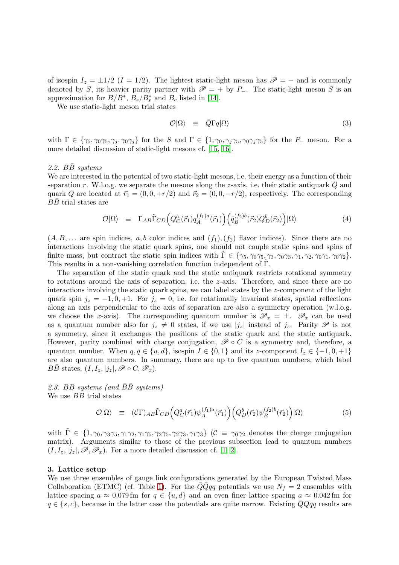of isospin  $I_z = \pm 1/2$  ( $I = 1/2$ ). The lightest static-light meson has  $\mathscr{P} = -$  and is commonly denoted by S, its heavier parity partner with  $\mathscr{P} = +$  by P\_. The static-light meson S is an approximation for  $B/B^*, B_s/B^*_s$  and  $B_c$  listed in [\[14\]](#page-4-13).

We use static-light meson trial states

$$
\mathcal{O}|\Omega\rangle \equiv \bar{Q}\Gamma q|\Omega\rangle \tag{3}
$$

with  $\Gamma \in \{\gamma_5, \gamma_0\gamma_5, \gamma_j, \gamma_0\gamma_j\}$  for the S and  $\Gamma \in \{1, \gamma_0, \gamma_j\gamma_5, \gamma_0\gamma_j\gamma_5\}$  for the P<sub>-</sub> meson. For a more detailed discussion of static-light mesons cf. [\[15,](#page-4-14) [16\]](#page-4-15).

#### 2.2.  $B\bar{B}$  systems

We are interested in the potential of two static-light mesons, i.e. their energy as a function of their separation r. W.l.o.g. we separate the mesons along the z-axis, i.e. their static antiquark  $Q$  and quark Q are located at  $\vec{r}_1 = (0, 0, +r/2)$  and  $\vec{r}_2 = (0, 0, -r/2)$ , respectively. The corresponding  $B\bar{B}$  trial states are

$$
\mathcal{O}|\Omega\rangle \equiv \Gamma_{AB}\tilde{\Gamma}_{CD}\Big(\bar{Q}^a_C(\vec{r}_1)q_A^{(f_1)a}(\vec{r}_1)\Big)\Big(\bar{q}_B^{(f_2)b}(\vec{r}_2)Q^b_D(\vec{r}_2)\Big)|\Omega\rangle \tag{4}
$$

 $(A, B, \dots)$  are spin indices, a, b color indices and  $(f_1), (f_2)$  flavor indices). Since there are no interactions involving the static quark spins, one should not couple static spins and spins of finite mass, but contract the static spin indices with  $\Gamma \in \{\gamma_5, \gamma_0\gamma_5, \gamma_3, \gamma_0\gamma_3, \gamma_1, \gamma_2, \gamma_0\gamma_1, \gamma_0\gamma_2\}.$ This results in a non-vanishing correlation function independent of  $\Gamma$ .

The separation of the static quark and the static antiquark restricts rotational symmetry to rotations around the axis of separation, i.e. the z-axis. Therefore, and since there are no interactions involving the static quark spins, we can label states by the z-component of the light quark spin  $j_z = -1, 0, +1$ . For  $j_z = 0$ , i.e. for rotationally invariant states, spatial reflections along an axis perpendicular to the axis of separation are also a symmetry operation (w.l.o.g. we choose the x-axis). The corresponding quantum number is  $\mathscr{P}_x = \pm$ .  $\mathscr{P}_x$  can be used as a quantum number also for  $j_z \neq 0$  states, if we use  $|j_z|$  instead of  $j_z$ . Parity  $\mathscr P$  is not a symmetry, since it exchanges the positions of the static quark and the static antiquark. However, parity combined with charge conjugation,  $\mathscr{P} \circ C$  is a symmetry and, therefore, a quantum number. When  $q, \bar{q} \in \{u, d\}$ , isospin  $I \in \{0, 1\}$  and its z-component  $I_z \in \{-1, 0, +1\}$ are also quantum numbers. In summary, there are up to five quantum numbers, which label  $B\bar{B}$  states,  $(I, I_z, |j_z|, \mathscr{P} \circ C, \mathscr{P}_x)$ .

2.3. BB systems (and  $\bar{B}\bar{B}$  systems) We use *BB* trial states

$$
\mathcal{O}|\Omega\rangle \equiv (\mathcal{C}\Gamma)_{AB}\tilde{\Gamma}_{CD}\Big(\bar{Q}^a_C(\vec{r}_1)\psi_A^{(f_1)a}(\vec{r}_1)\Big)\Big(\bar{Q}^b_D(\vec{r}_2)\psi_B^{(f_2)b}(\vec{r}_2)\Big)|\Omega\rangle \tag{5}
$$

with  $\Gamma \in \{1, \gamma_0, \gamma_3\gamma_5, \gamma_1\gamma_2, \gamma_1\gamma_5, \gamma_2\gamma_5, \gamma_2\gamma_3, \gamma_1\gamma_3\}$  ( $\mathcal{C} \equiv \gamma_0\gamma_2$  denotes the charge conjugation matrix). Arguments similar to those of the previous subsection lead to quantum numbers  $(I, I_z, |j_z|, \mathscr{P}, \mathscr{P}_x)$ . For a more detailed discussion cf. [\[1,](#page-4-0) [2\]](#page-4-1).

#### 3. Lattice setup

We use three ensembles of gauge link configurations generated by the European Twisted Mass Collaboration (ETMC) (cf. Table [1\)](#page-2-0). For the  $\overline{Q}q\overline{q}q$  potentials we use  $N_f = 2$  ensembles with lattice spacing  $a \approx 0.079$  fm for  $q \in \{u, d\}$  and an even finer lattice spacing  $a \approx 0.042$  fm for  $q \in \{s, c\}$ , because in the latter case the potentials are quite narrow. Existing  $QQ\bar{q}q$  results are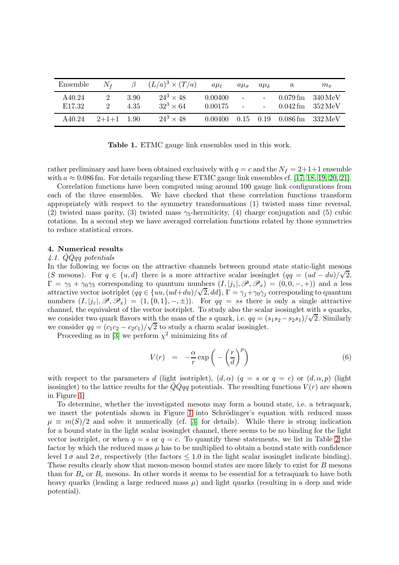| Ensemble                     | $N_f$        | $\beta$      | $(L/a)^3 \times (T/a)$               | $a\mu$             | $a\mu_{\sigma}$          | $a\mu$ s | a                                                                  | $m_{\pi}$ |
|------------------------------|--------------|--------------|--------------------------------------|--------------------|--------------------------|----------|--------------------------------------------------------------------|-----------|
| A40.24<br>E <sub>17.32</sub> |              | 3.90<br>4.35 | $24^3 \times 48$<br>$32^3 \times 64$ | 0.00400<br>0.00175 | $\overline{\phantom{a}}$ |          | $0.079$ fm $340$ MeV<br>$0.042 \,\mathrm{fm}$ $352 \,\mathrm{MeV}$ |           |
| A40.24                       | $2+1+1$ 1.90 |              | $24^3 \times 48$                     | 0.00400            |                          |          | $0.15$ 0.19 0.086 fm 332 MeV                                       |           |

<span id="page-2-0"></span>Table 1. ETMC gauge link ensembles used in this work.

rather preliminary and have been obtained exclusively with  $q = c$  and the  $N_f = 2+1+1$  ensemble with  $a \approx 0.086$  fm. For details regarding these ETMC gauge link ensembles cf. [\[17,](#page-4-16) [18,](#page-4-17) [19,](#page-4-18) [20,](#page-4-19) [21\]](#page-4-20).

Correlation functions have been computed using around 100 gauge link configurations from each of the three ensembles. We have checked that these correlation functions transform appropriately with respect to the symmetry transformations (1) twisted mass time reversal, (2) twisted mass parity, (3) twisted mass  $\gamma_5$ -hermiticity, (4) charge conjugation and (5) cubic rotations. In a second step we have averaged correlation functions related by those symmetries to reduce statistical errors.

# 4. Numerical results

#### $4.1.$  QQqq potentials

In the following we focus on the attractive channels between ground state static-light mesons (S mesons). For  $q \in \{u, d\}$  there is a more attractive scalar isosinglet  $(qq = (ud - du)/\sqrt{2},$  $\Gamma = \gamma_5 + \gamma_0 \gamma_5$  corresponding to quantum numbers  $(I, |j_z|, \mathscr{P}, \mathscr{P}_x) = (0, 0, -, +))$  and a less attractive vector isotriplet  $(qq \in \{uu, (ud+du)/\sqrt{2}, dd\}, \Gamma = \gamma_j + \gamma_0 \gamma_j$  corresponding to quantum numbers  $(I, |j_z|, \mathscr{P}, \mathscr{P}_x) = (1, \{0, 1\}, -, \pm)$ . For  $qq = ss$  there is only a single attractive channel, the equivalent of the vector isotriplet. To study also the scalar isosinglet with  $s$  quarks, we consider two quark flavors with the mass of the s quark, i.e.  $qq = (s_1s_2 - s_2s_1)/\sqrt{2}$ . Similarly we consider  $qq = (c_1c_2 - c_2c_1)/\sqrt{2}$  to study a charm scalar isosinglet.

Proceeding as in [\[3\]](#page-4-2) we perform  $\chi^2$  minimizing fits of

<span id="page-2-1"></span>
$$
V(r) = -\frac{\alpha}{r} \exp\left(-\left(\frac{r}{d}\right)^p\right) \tag{6}
$$

with respect to the parameters d (light isotriplet),  $(d, \alpha)$   $(q = s \text{ or } q = c)$  or  $(d, \alpha, p)$  (light isosinglet) to the lattice results for the  $\overline{Q}qq$  potentials. The resulting functions  $V(r)$  are shown in Figure [1.](#page-3-0)

To determine, whether the investigated mesons may form a bound state, i.e. a tetraquark, we insert the potentials shown in Figure [1](#page-3-0) into Schrödinger's equation with reduced mass  $\mu \equiv m(S)/2$  and solve it numerically (cf. [\[3\]](#page-4-2) for details). While there is strong indication for a bound state in the light scalar isosinglet channel, there seems to be no binding for the light vector isotriplet, or when  $q = s$  or  $q = c$ . To quantify these statements, we list in Table [2](#page-3-1) the factor by which the reduced mass  $\mu$  has to be multiplied to obtain a bound state with confidence level  $1\sigma$  and  $2\sigma$ , respectively (the factors  $\leq 1.0$  in the light scalar isosinglet indicate binding). These results clearly show that meson-meson bound states are more likely to exist for B mesons than for  $B_s$  or  $B_c$  mesons. In other words it seems to be essential for a tetraquark to have both heavy quarks (leading a large reduced mass  $\mu$ ) and light quarks (resulting in a deep and wide potential).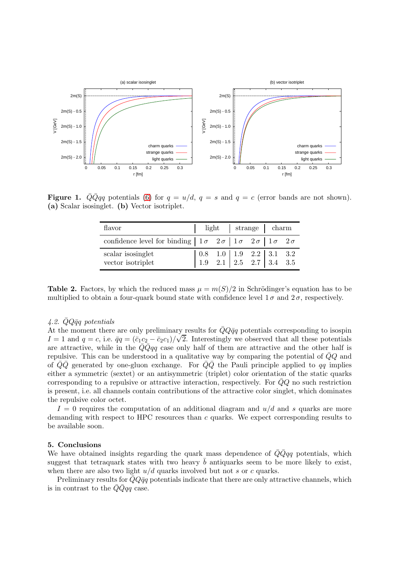

**Figure 1.**  $\overline{Q} \overline{Q} q q$  potentials [\(6\)](#page-2-1) for  $q = u/d$ ,  $q = s$  and  $q = c$  (error bands are not shown). (a) Scalar isosinglet. (b) Vector isotriplet.

<span id="page-3-0"></span>

| flavor                                                                                                                       |  |  | light   strange   charm |                                                                                                                                               |  |  |
|------------------------------------------------------------------------------------------------------------------------------|--|--|-------------------------|-----------------------------------------------------------------------------------------------------------------------------------------------|--|--|
| confidence level for binding $\begin{vmatrix} 1 \sigma & 2 \sigma & 1 \sigma & 2 \sigma & 1 \sigma & 2 \sigma \end{vmatrix}$ |  |  |                         |                                                                                                                                               |  |  |
| scalar isosinglet<br>vector isotriplet                                                                                       |  |  |                         | $\begin{array}{ c c c c c c c c } \hline 0.8 & 1.0 & 1.9 & 2.2 & 3.1 & 3.2 \\ \hline 1.9 & 2.1 & 2.5 & 2.7 & 3.4 & 3.5 \\ \hline \end{array}$ |  |  |

<span id="page-3-1"></span>**Table 2.** Factors, by which the reduced mass  $\mu = m(S)/2$  in Schrödinger's equation has to be multiplied to obtain a four-quark bound state with confidence level  $1\sigma$  and  $2\sigma$ , respectively.

# 4.2.  $\bar{Q}Q\bar{q}q$  potentials

At the moment there are only preliminary results for  $\bar{Q}Q\bar{q}q$  potentials corresponding to isospin  $I = 1$  and  $q = c$ , i.e.  $\bar{q}q = (\bar{c}_1c_2 - \bar{c}_2c_1)/\sqrt{2}$ . Interestingly we observed that all these potentials are attractive, while in the  $\overline{Q}Qqq$  case only half of them are attractive and the other half is repulsive. This can be understood in a qualitative way by comparing the potential of  $\overline{Q}Q$  and of  $\overline{Q}\overline{Q}$  generated by one-gluon exchange. For  $\overline{Q}\overline{Q}$  the Pauli principle applied to qq implies either a symmetric (sextet) or an antisymmetric (triplet) color orientation of the static quarks corresponding to a repulsive or attractive interaction, respectively. For  $QQ$  no such restriction is present, i.e. all channels contain contributions of the attractive color singlet, which dominates the repulsive color octet.

 $I = 0$  requires the computation of an additional diagram and  $u/d$  and s quarks are more demanding with respect to HPC resources than c quarks. We expect corresponding results to be available soon.

## 5. Conclusions

We have obtained insights regarding the quark mass dependence of  $\overline{Q}q\overline{q}q$  potentials, which suggest that tetraquark states with two heavy  $\bar{b}$  antiquarks seem to be more likely to exist, when there are also two light  $u/d$  quarks involved but not s or c quarks.

Preliminary results for  $\bar{Q}Q\bar{q}q$  potentials indicate that there are only attractive channels, which is in contrast to the  $\bar{Q} \bar{Q} q q$  case.